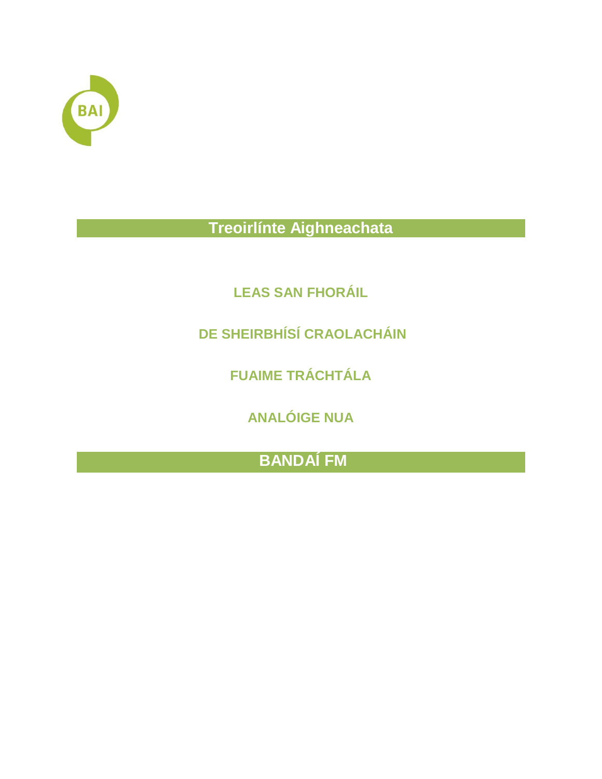

**Treoirlínte Aighneachata**

**LEAS SAN FHORÁIL**

**DE SHEIRBHÍSÍ CRAOLACHÁIN** 

**FUAIME TRÁCHTÁLA** 

**ANALÓIGE NUA**

**BANDAÍ FM**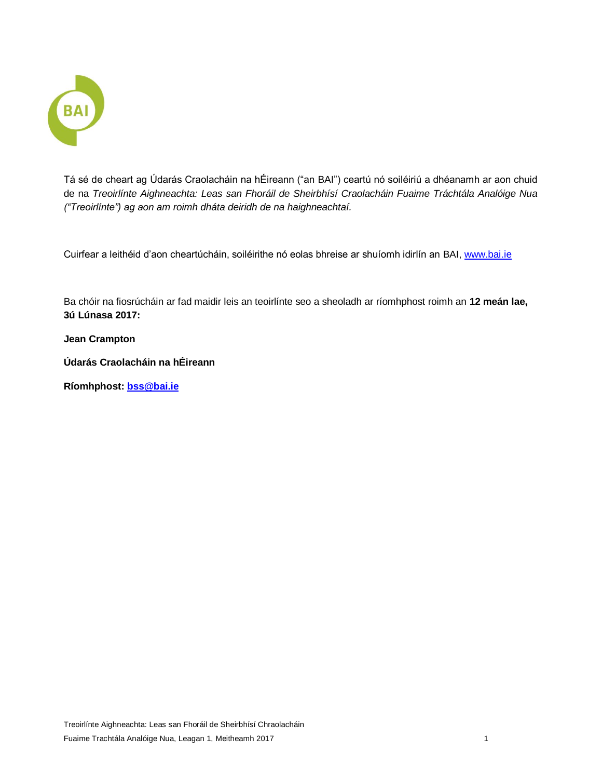

Tá sé de cheart ag Údarás Craolacháin na hÉireann ("an BAI") ceartú nó soiléiriú a dhéanamh ar aon chuid de na *Treoirlínte Aighneachta: Leas san Fhoráil de Sheirbhísí Craolacháin Fuaime Tráchtála Analóige Nua ("Treoirlínte") ag aon am roimh dháta deiridh de na haighneachtaí.*

Cuirfear a leithéid d'aon cheartúcháin, soiléirithe nó eolas bhreise ar shuíomh idirlín an BAI, [www.bai.ie](http://www.bai.ie/)

Ba chóir na fiosrúcháin ar fad maidir leis an teoirlínte seo a sheoladh ar ríomhphost roimh an **12 meán lae, 3ú Lúnasa 2017:** 

**Jean Crampton**

**Údarás Craolacháin na hÉireann**

**Ríomhphost: [bss@bai.ie](mailto:bss@bai.ie)**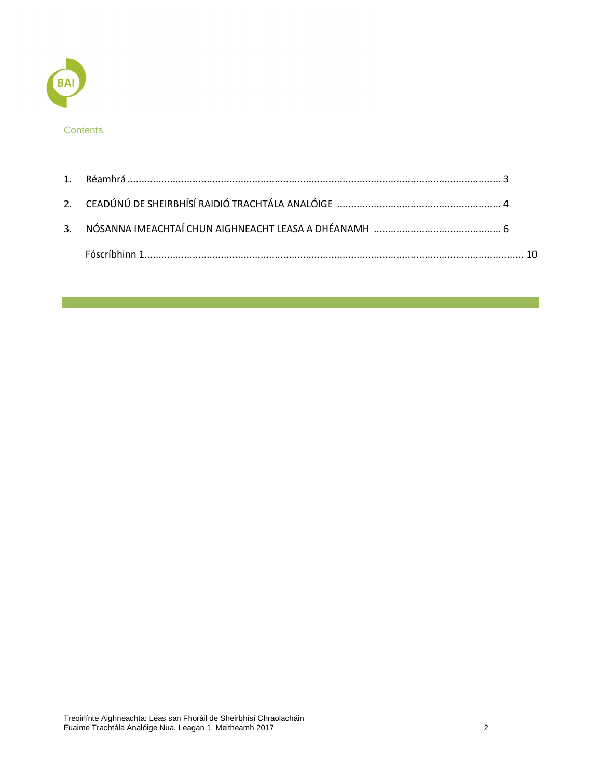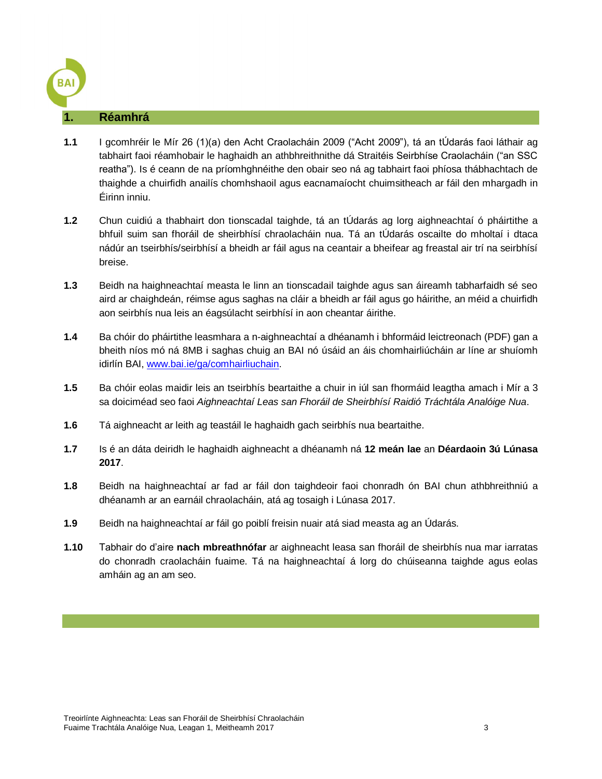#### <span id="page-3-0"></span>**1. Réamhrá**

- **1.1** I gcomhréir le Mír 26 (1)(a) den Acht Craolacháin 2009 ("Acht 2009"), tá an tÚdarás faoi láthair ag tabhairt faoi réamhobair le haghaidh an athbhreithnithe dá Straitéis Seirbhíse Craolacháin ("an SSC reatha"). Is é ceann de na príomhghnéithe den obair seo ná ag tabhairt faoi phíosa thábhachtach de thaighde a chuirfidh anailís chomhshaoil agus eacnamaíocht chuimsitheach ar fáil den mhargadh in Éirinn inniu.
- **1.2** Chun cuidiú a thabhairt don tionscadal taighde, tá an tÚdarás ag lorg aighneachtaí ó pháirtithe a bhfuil suim san fhoráil de sheirbhísí chraolacháin nua. Tá an tÚdarás oscailte do mholtaí i dtaca nádúr an tseirbhís/seirbhísí a bheidh ar fáil agus na ceantair a bheifear ag freastal air trí na seirbhísí breise.
- **1.3** Beidh na haighneachtaí measta le linn an tionscadail taighde agus san áireamh tabharfaidh sé seo aird ar chaighdeán, réimse agus saghas na cláir a bheidh ar fáil agus go háirithe, an méid a chuirfidh aon seirbhís nua leis an éagsúlacht seirbhísí in aon cheantar áirithe.
- **1.4** Ba chóir do pháirtithe leasmhara a n-aighneachtaí a dhéanamh i bhformáid leictreonach (PDF) gan a bheith níos mó ná 8MB i saghas chuig an BAI nó úsáid an áis chomhairliúcháin ar líne ar shuíomh idirlín BAI, [www.bai.ie/ga/comhairliuchain.](http://www.bai.ie/ga/comhairliuchain)
- **1.5** Ba chóir eolas maidir leis an tseirbhís beartaithe a chuir in iúl san fhormáid leagtha amach i Mír a 3 sa doiciméad seo faoi *Aighneachtaí Leas san Fhoráil de Sheirbhísí Raidió Tráchtála Analóige Nua*.
- **1.6** Tá aighneacht ar leith ag teastáil le haghaidh gach seirbhís nua beartaithe.
- **1.7** Is é an dáta deiridh le haghaidh aighneacht a dhéanamh ná **12 meán lae** an **Déardaoin 3ú Lúnasa 2017**.
- **1.8** Beidh na haighneachtaí ar fad ar fáil don taighdeoir faoi chonradh ón BAI chun athbhreithniú a dhéanamh ar an earnáil chraolacháin, atá ag tosaigh i Lúnasa 2017.
- **1.9** Beidh na haighneachtaí ar fáil go poiblí freisin nuair atá siad measta ag an Údarás.
- **1.10** Tabhair do d'aire **nach mbreathnófar** ar aighneacht leasa san fhoráil de sheirbhís nua mar iarratas do chonradh craolacháin fuaime. Tá na haighneachtaí á lorg do chúiseanna taighde agus eolas amháin ag an am seo.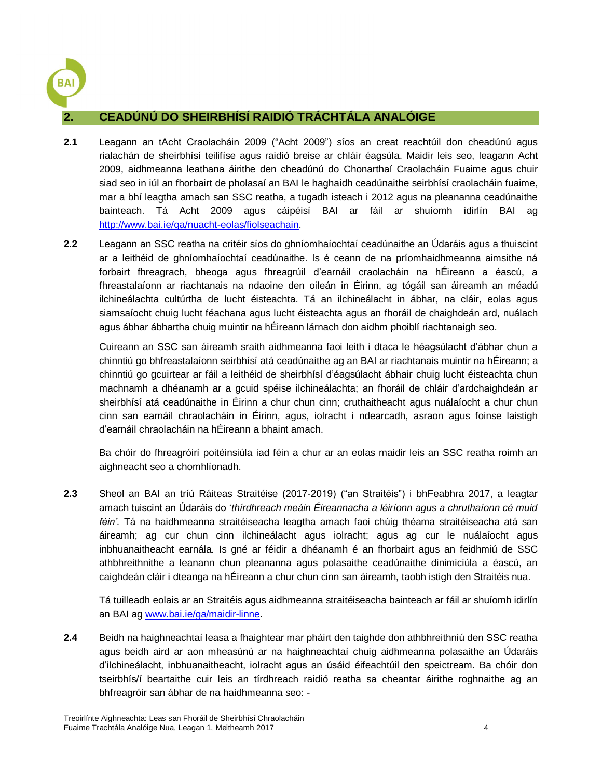

# <span id="page-4-0"></span>**2. CEADÚNÚ DO SHEIRBHÍSÍ RAIDIÓ TRÁCHTÁLA ANALÓIGE**

- **2.1** Leagann an tAcht Craolacháin 2009 ("Acht 2009") síos an creat reachtúil don cheadúnú agus rialachán de sheirbhísí teilifíse agus raidió breise ar chláir éagsúla. Maidir leis seo, leagann Acht 2009, aidhmeanna leathana áirithe den cheadúnú do Chonarthaí Craolacháin Fuaime agus chuir siad seo in iúl an fhorbairt de pholasaí an BAI le haghaidh ceadúnaithe seirbhísí craolacháin fuaime, mar a bhí leagtha amach san SSC reatha, a tugadh isteach i 2012 agus na pleananna ceadúnaithe bainteach. Tá Acht 2009 agus cáipéisí BAI ar fáil ar shuíomh idirlín BAI ag [http://www.bai.ie/ga/nuacht-eolas/fiolseachain.](http://www.bai.ie/ga/nuacht-eolas/fiolseachain)
- **2.2** Leagann an SSC reatha na critéir síos do ghníomhaíochtaí ceadúnaithe an Údaráis agus a thuiscint ar a leithéid de ghníomhaíochtaí ceadúnaithe. Is é ceann de na príomhaidhmeanna aimsithe ná forbairt fhreagrach, bheoga agus fhreagrúil d'earnáil craolacháin na hÉireann a éascú, a fhreastalaíonn ar riachtanais na ndaoine den oileán in Éirinn, ag tógáil san áireamh an méadú ilchineálachta cultúrtha de lucht éisteachta. Tá an ilchineálacht in ábhar, na cláir, eolas agus siamsaíocht chuig lucht féachana agus lucht éisteachta agus an fhoráil de chaighdeán ard, nuálach agus ábhar ábhartha chuig muintir na hÉireann lárnach don aidhm phoiblí riachtanaigh seo.

Cuireann an SSC san áireamh sraith aidhmeanna faoi leith i dtaca le héagsúlacht d'ábhar chun a chinntiú go bhfreastalaíonn seirbhísí atá ceadúnaithe ag an BAI ar riachtanais muintir na hÉireann; a chinntiú go gcuirtear ar fáil a leithéid de sheirbhísí d'éagsúlacht ábhair chuig lucht éisteachta chun machnamh a dhéanamh ar a gcuid spéise ilchineálachta; an fhoráil de chláir d'ardchaighdeán ar sheirbhísí atá ceadúnaithe in Éirinn a chur chun cinn; cruthaitheacht agus nuálaíocht a chur chun cinn san earnáil chraolacháin in Éirinn, agus, iolracht i ndearcadh, asraon agus foinse laistigh d'earnáil chraolacháin na hÉireann a bhaint amach.

Ba chóir do fhreagróirí poitéinsiúla iad féin a chur ar an eolas maidir leis an SSC reatha roimh an aighneacht seo a chomhlíonadh.

**2.3** Sheol an BAI an tríú Ráiteas Straitéise (2017-2019) ("an Straitéis") i bhFeabhra 2017, a leagtar amach tuiscint an Údaráis do '*thírdhreach meáin Éireannacha a léiríonn agus a chruthaíonn cé muid féin'.* Tá na haidhmeanna straitéiseacha leagtha amach faoi chúig théama straitéiseacha atá san áireamh; ag cur chun cinn ilchineálacht agus iolracht; agus ag cur le nuálaíocht agus inbhuanaitheacht earnála. Is gné ar féidir a dhéanamh é an fhorbairt agus an feidhmiú de SSC athbhreithnithe a leanann chun pleananna agus polasaithe ceadúnaithe dinimiciúla a éascú, an caighdeán cláir i dteanga na hÉireann a chur chun cinn san áireamh, taobh istigh den Straitéis nua.

Tá tuilleadh eolais ar an Straitéis agus aidhmeanna straitéiseacha bainteach ar fáil ar shuíomh idirlín an BAI a[g www.bai.ie/ga/maidir-linne.](http://www.bai.ie/ga/maidir-linne)

**2.4** Beidh na haighneachtaí leasa a fhaightear mar pháirt den taighde don athbhreithniú den SSC reatha agus beidh aird ar aon mheasúnú ar na haighneachtaí chuig aidhmeanna polasaithe an Údaráis d'ilchineálacht, inbhuanaitheacht, iolracht agus an úsáid éifeachtúil den speictream. Ba chóir don tseirbhís/í beartaithe cuir leis an tírdhreach raidió reatha sa cheantar áirithe roghnaithe ag an bhfreagróir san ábhar de na haidhmeanna seo: -

Treoirlínte Aighneachta: Leas san Fhoráil de Sheirbhísí Chraolacháin Fuaime Trachtála Analóige Nua, Leagan 1, Meitheamh 2017 4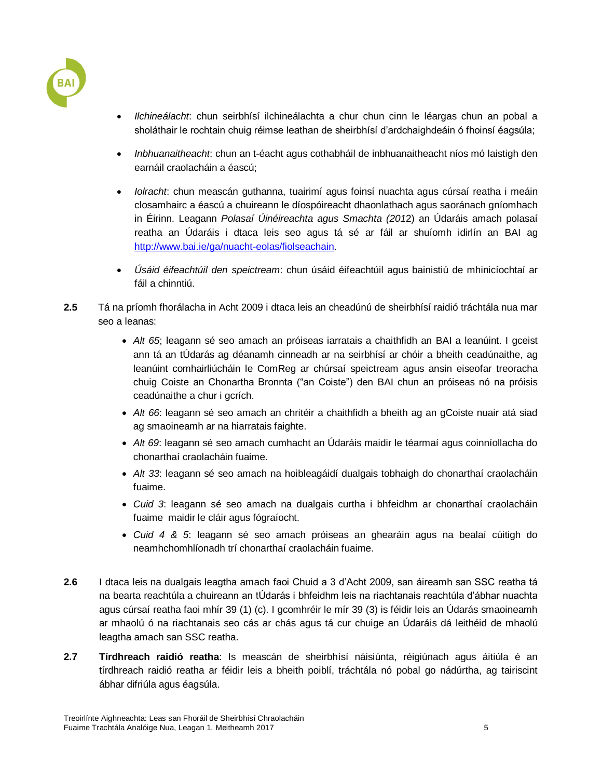

- *Ilchineálacht*: chun seirbhísí ilchineálachta a chur chun cinn le léargas chun an pobal a sholáthair le rochtain chuig réimse leathan de sheirbhísí d'ardchaighdeáin ó fhoinsí éagsúla;
- *Inbhuanaitheacht*: chun an t-éacht agus cothabháil de inbhuanaitheacht níos mó laistigh den earnáil craolacháin a éascú;
- *Iolracht*: chun meascán guthanna, tuairimí agus foinsí nuachta agus cúrsaí reatha i meáin closamhairc a éascú a chuireann le díospóireacht dhaonlathach agus saoránach gníomhach in Éirinn. Leagann *Polasaí Úinéireachta agus Smachta (201*2) an Údaráis amach polasaí reatha an Údaráis i dtaca leis seo agus tá sé ar fáil ar shuíomh idirlín an BAI ag [http://www.bai.ie/ga/nuacht-eolas/fiolseachain.](http://www.bai.ie/ga/nuacht-eolas/fiolseachain)
- *Úsáid éifeachtúil den speictream*: chun úsáid éifeachtúil agus bainistiú de mhinicíochtaí ar fáil a chinntiú.
- **2.5** Tá na príomh fhorálacha in Acht 2009 i dtaca leis an cheadúnú de sheirbhísí raidió tráchtála nua mar seo a leanas:
	- *Alt 65*; leagann sé seo amach an próiseas iarratais a chaithfidh an BAI a leanúint. I gceist ann tá an tÚdarás ag déanamh cinneadh ar na seirbhísí ar chóir a bheith ceadúnaithe, ag leanúint comhairliúcháin le ComReg ar chúrsaí speictream agus ansin eiseofar treoracha chuig Coiste an Chonartha Bronnta ("an Coiste") den BAI chun an próiseas nó na próisis ceadúnaithe a chur i gcrích.
	- *Alt 66*: leagann sé seo amach an chritéir a chaithfidh a bheith ag an gCoiste nuair atá siad ag smaoineamh ar na hiarratais faighte.
	- *Alt 69*: leagann sé seo amach cumhacht an Údaráis maidir le téarmaí agus coinníollacha do chonarthaí craolacháin fuaime.
	- *Alt 33*: leagann sé seo amach na hoibleagáidí dualgais tobhaigh do chonarthaí craolacháin fuaime.
	- *Cuid 3*: leagann sé seo amach na dualgais curtha i bhfeidhm ar chonarthaí craolacháin fuaime maidir le cláir agus fógraíocht.
	- *Cuid 4 & 5*: leagann sé seo amach próiseas an ghearáin agus na bealaí cúitigh do neamhchomhlíonadh trí chonarthaí craolacháin fuaime.
- **2.6** I dtaca leis na dualgais leagtha amach faoi Chuid a 3 d'Acht 2009, san áireamh san SSC reatha tá na bearta reachtúla a chuireann an tÚdarás i bhfeidhm leis na riachtanais reachtúla d'ábhar nuachta agus cúrsaí reatha faoi mhír 39 (1) (c). I gcomhréir le mír 39 (3) is féidir leis an Údarás smaoineamh ar mhaolú ó na riachtanais seo cás ar chás agus tá cur chuige an Údaráis dá leithéid de mhaolú leagtha amach san SSC reatha.
- **2.7 Tírdhreach raidió reatha**: Is meascán de sheirbhísí náisiúnta, réigiúnach agus áitiúla é an tírdhreach raidió reatha ar féidir leis a bheith poiblí, tráchtála nó pobal go nádúrtha, ag tairiscint ábhar difriúla agus éagsúla.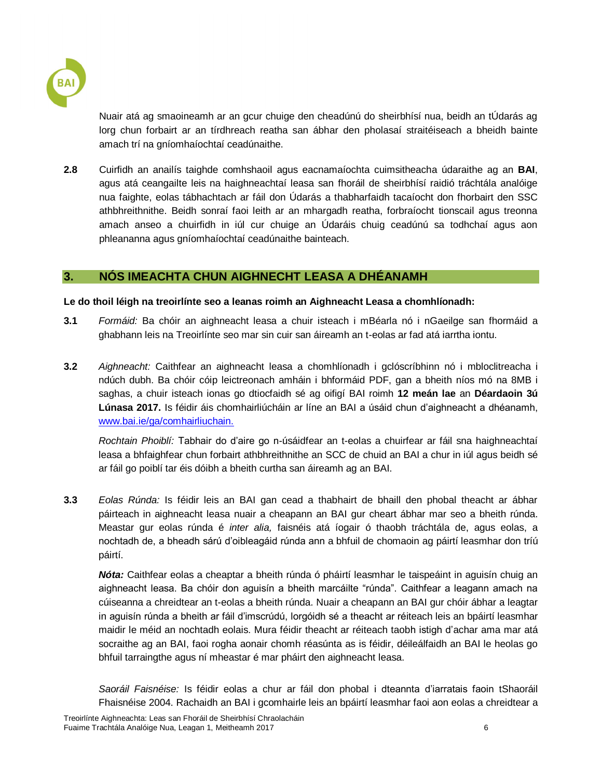

Nuair atá ag smaoineamh ar an gcur chuige den cheadúnú do sheirbhísí nua, beidh an tÚdarás ag lorg chun forbairt ar an tírdhreach reatha san ábhar den pholasaí straitéiseach a bheidh bainte amach trí na gníomhaíochtaí ceadúnaithe.

**2.8** Cuirfidh an anailís taighde comhshaoil agus eacnamaíochta cuimsitheacha údaraithe ag an **BAI**, agus atá ceangailte leis na haighneachtaí leasa san fhoráil de sheirbhísí raidió tráchtála analóige nua faighte, eolas tábhachtach ar fáil don Údarás a thabharfaidh tacaíocht don fhorbairt den SSC athbhreithnithe. Beidh sonraí faoi leith ar an mhargadh reatha, forbraíocht tionscail agus treonna amach anseo a chuirfidh in iúl cur chuige an Údaráis chuig ceadúnú sa todhchaí agus aon phleananna agus gníomhaíochtaí ceadúnaithe bainteach.

### <span id="page-6-0"></span>**3. NÓS IMEACHTA CHUN AIGHNECHT LEASA A DHÉANAMH**

#### **Le do thoil léigh na treoirlínte seo a leanas roimh an Aighneacht Leasa a chomhlíonadh:**

- **3.1** *Formáid:* Ba chóir an aighneacht leasa a chuir isteach i mBéarla nó i nGaeilge san fhormáid a ghabhann leis na Treoirlínte seo mar sin cuir san áireamh an t-eolas ar fad atá iarrtha iontu.
- **3.2** *Aighneacht:* Caithfear an aighneacht leasa a chomhlíonadh i gclóscríbhinn nó i mbloclitreacha i ndúch dubh. Ba chóir cóip leictreonach amháin i bhformáid PDF, gan a bheith níos mó na 8MB i saghas, a chuir isteach ionas go dtiocfaidh sé ag oifigí BAI roimh **12 meán lae** an **Déardaoin 3ú Lúnasa 2017.** Is féidir áis chomhairliúcháin ar líne an BAI a úsáid chun d'aighneacht a dhéanamh, [www.bai.ie/ga/comhairliuchain.](http://www.bai.ie/ga/comhairliuchain)

*Rochtain Phoiblí:* Tabhair do d'aire go n-úsáidfear an t-eolas a chuirfear ar fáil sna haighneachtaí leasa a bhfaighfear chun forbairt athbhreithnithe an SCC de chuid an BAI a chur in iúl agus beidh sé ar fáil go poiblí tar éis dóibh a bheith curtha san áireamh ag an BAI.

**3.3** *Eolas Rúnda:* Is féidir leis an BAI gan cead a thabhairt de bhaill den phobal theacht ar ábhar páirteach in aighneacht leasa nuair a cheapann an BAI gur cheart ábhar mar seo a bheith rúnda. Meastar gur eolas rúnda é *inter alia,* faisnéis atá íogair ó thaobh tráchtála de, agus eolas, a nochtadh de, a bheadh sárú d'oibleagáid rúnda ann a bhfuil de chomaoin ag páirtí leasmhar don tríú páirtí.

*Nóta:* Caithfear eolas a cheaptar a bheith rúnda ó pháirtí leasmhar le taispeáint in aguisín chuig an aighneacht leasa. Ba chóir don aguisín a bheith marcáilte "rúnda". Caithfear a leagann amach na cúiseanna a chreidtear an t-eolas a bheith rúnda. Nuair a cheapann an BAI gur chóir ábhar a leagtar in aguisín rúnda a bheith ar fáil d'imscrúdú, lorgóidh sé a theacht ar réiteach leis an bpáirtí leasmhar maidir le méid an nochtadh eolais. Mura féidir theacht ar réiteach taobh istigh d'achar ama mar atá socraithe ag an BAI, faoi rogha aonair chomh réasúnta as is féidir, déileálfaidh an BAI le heolas go bhfuil tarraingthe agus ní mheastar é mar pháirt den aighneacht leasa.

*Saoráil Faisnéise:* Is féidir eolas a chur ar fáil don phobal i dteannta d'iarratais faoin tShaoráil Fhaisnéise 2004. Rachaidh an BAI i gcomhairle leis an bpáirtí leasmhar faoi aon eolas a chreidtear a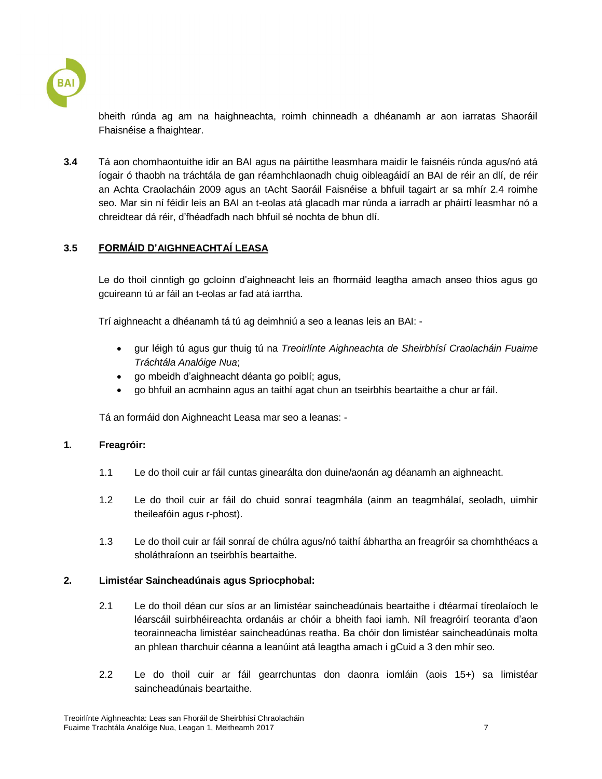

bheith rúnda ag am na haighneachta, roimh chinneadh a dhéanamh ar aon iarratas Shaoráil Fhaisnéise a fhaightear.

**3.4** Tá aon chomhaontuithe idir an BAI agus na páirtithe leasmhara maidir le faisnéis rúnda agus/nó atá íogair ó thaobh na tráchtála de gan réamhchlaonadh chuig oibleagáidí an BAI de réir an dlí, de réir an Achta Craolacháin 2009 agus an tAcht Saoráil Faisnéise a bhfuil tagairt ar sa mhír 2.4 roimhe seo. Mar sin ní féidir leis an BAI an t-eolas atá glacadh mar rúnda a iarradh ar pháirtí leasmhar nó a chreidtear dá réir, d'fhéadfadh nach bhfuil sé nochta de bhun dlí.

## **3.5 FORMÁID D'AIGHNEACHTAÍ LEASA**

Le do thoil cinntigh go gcloínn d'aighneacht leis an fhormáid leagtha amach anseo thíos agus go gcuireann tú ar fáil an t-eolas ar fad atá iarrtha.

Trí aighneacht a dhéanamh tá tú ag deimhniú a seo a leanas leis an BAI: -

- gur léigh tú agus gur thuig tú na *Treoirlínte Aighneachta de Sheirbhísí Craolacháin Fuaime Tráchtála Analóige Nua*;
- go mbeidh d'aighneacht déanta go poiblí; agus,
- go bhfuil an acmhainn agus an taithí agat chun an tseirbhís beartaithe a chur ar fáil.

Tá an formáid don Aighneacht Leasa mar seo a leanas: -

#### **1. Freagróir:**

- 1.1 Le do thoil cuir ar fáil cuntas ginearálta don duine/aonán ag déanamh an aighneacht.
- 1.2 Le do thoil cuir ar fáil do chuid sonraí teagmhála (ainm an teagmhálaí, seoladh, uimhir theileafóin agus r-phost).
- 1.3 Le do thoil cuir ar fáil sonraí de chúlra agus/nó taithí ábhartha an freagróir sa chomhthéacs a sholáthraíonn an tseirbhís beartaithe.

#### **2. Limistéar Saincheadúnais agus Spriocphobal:**

- 2.1 Le do thoil déan cur síos ar an limistéar saincheadúnais beartaithe i dtéarmaí tíreolaíoch le léarscáil suirbhéireachta ordanáis ar chóir a bheith faoi iamh. Níl freagróirí teoranta d'aon teorainneacha limistéar saincheadúnas reatha. Ba chóir don limistéar saincheadúnais molta an phlean tharchuir céanna a leanúint atá leagtha amach i gCuid a 3 den mhír seo.
- 2.2 Le do thoil cuir ar fáil gearrchuntas don daonra iomláin (aois 15+) sa limistéar saincheadúnais beartaithe.

Treoirlínte Aighneachta: Leas san Fhoráil de Sheirbhísí Chraolacháin Fuaime Trachtála Analóige Nua, Leagan 1, Meitheamh 2017 7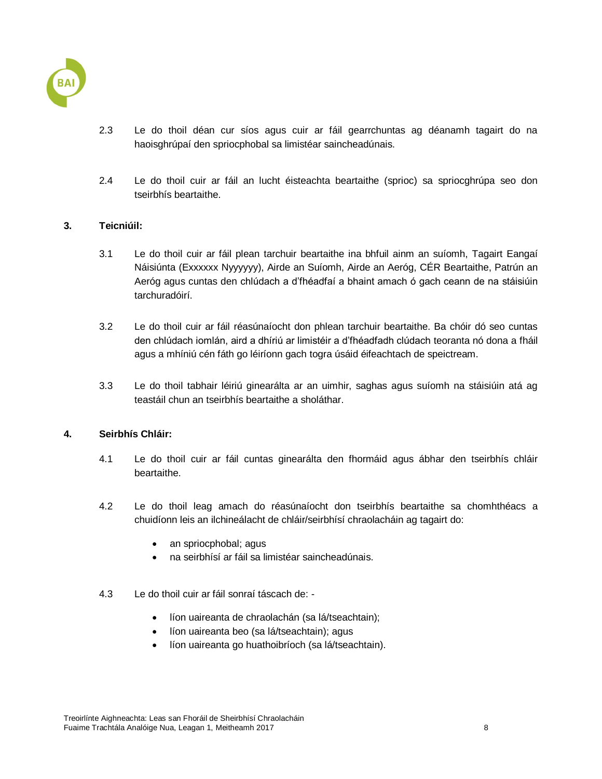

- 2.3 Le do thoil déan cur síos agus cuir ar fáil gearrchuntas ag déanamh tagairt do na haoisghrúpaí den spriocphobal sa limistéar saincheadúnais.
- 2.4 Le do thoil cuir ar fáil an lucht éisteachta beartaithe (sprioc) sa spriocghrúpa seo don tseirbhís beartaithe.

#### **3. Teicniúil:**

- 3.1 Le do thoil cuir ar fáil plean tarchuir beartaithe ina bhfuil ainm an suíomh, Tagairt Eangaí Náisiúnta (Exxxxxx Nyyyyyy), Airde an Suíomh, Airde an Aeróg, CÉR Beartaithe, Patrún an Aeróg agus cuntas den chlúdach a d'fhéadfaí a bhaint amach ó gach ceann de na stáisiúin tarchuradóirí.
- 3.2 Le do thoil cuir ar fáil réasúnaíocht don phlean tarchuir beartaithe. Ba chóir dó seo cuntas den chlúdach iomlán, aird a dhíriú ar limistéir a d'fhéadfadh clúdach teoranta nó dona a fháil agus a mhíniú cén fáth go léiríonn gach togra úsáid éifeachtach de speictream.
- 3.3 Le do thoil tabhair léiriú ginearálta ar an uimhir, saghas agus suíomh na stáisiúin atá ag teastáil chun an tseirbhís beartaithe a sholáthar.

#### **4. Seirbhís Chláir:**

- 4.1 Le do thoil cuir ar fáil cuntas ginearálta den fhormáid agus ábhar den tseirbhís chláir beartaithe.
- 4.2 Le do thoil leag amach do réasúnaíocht don tseirbhís beartaithe sa chomhthéacs a chuidíonn leis an ilchineálacht de chláir/seirbhísí chraolacháin ag tagairt do:
	- an spriocphobal; agus
	- na seirbhísí ar fáil sa limistéar saincheadúnais.
- 4.3 Le do thoil cuir ar fáil sonraí táscach de:
	- líon uaireanta de chraolachán (sa lá/tseachtain);
	- líon uaireanta beo (sa lá/tseachtain); agus
	- líon uaireanta go huathoibríoch (sa lá/tseachtain).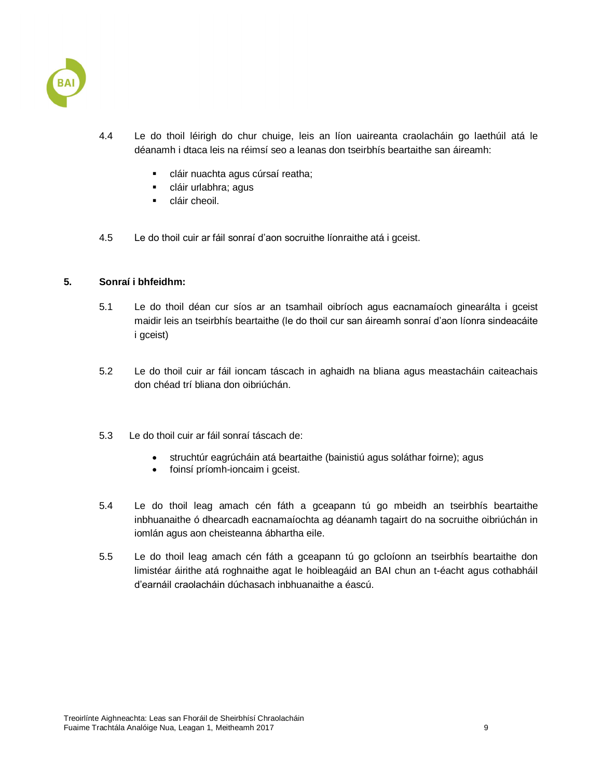

- 4.4 Le do thoil léirigh do chur chuige, leis an líon uaireanta craolacháin go laethúil atá le déanamh i dtaca leis na réimsí seo a leanas don tseirbhís beartaithe san áireamh:
	- cláir nuachta agus cúrsaí reatha;
	- cláir urlabhra; agus
	- **cláir cheoil.**
- 4.5 Le do thoil cuir ar fáil sonraí d'aon socruithe líonraithe atá i gceist.

#### **5. Sonraí i bhfeidhm:**

- 5.1 Le do thoil déan cur síos ar an tsamhail oibríoch agus eacnamaíoch ginearálta i gceist maidir leis an tseirbhís beartaithe (le do thoil cur san áireamh sonraí d'aon líonra sindeacáite i gceist)
- 5.2 Le do thoil cuir ar fáil ioncam táscach in aghaidh na bliana agus meastacháin caiteachais don chéad trí bliana don oibriúchán.
- 5.3 Le do thoil cuir ar fáil sonraí táscach de:
	- struchtúr eagrúcháin atá beartaithe (bainistiú agus soláthar foirne); agus
	- foinsí príomh-ioncaim i gceist.
- 5.4 Le do thoil leag amach cén fáth a gceapann tú go mbeidh an tseirbhís beartaithe inbhuanaithe ó dhearcadh eacnamaíochta ag déanamh tagairt do na socruithe oibriúchán in iomlán agus aon cheisteanna ábhartha eile.
- 5.5 Le do thoil leag amach cén fáth a gceapann tú go gcloíonn an tseirbhís beartaithe don limistéar áirithe atá roghnaithe agat le hoibleagáid an BAI chun an t-éacht agus cothabháil d'earnáil craolacháin dúchasach inbhuanaithe a éascú.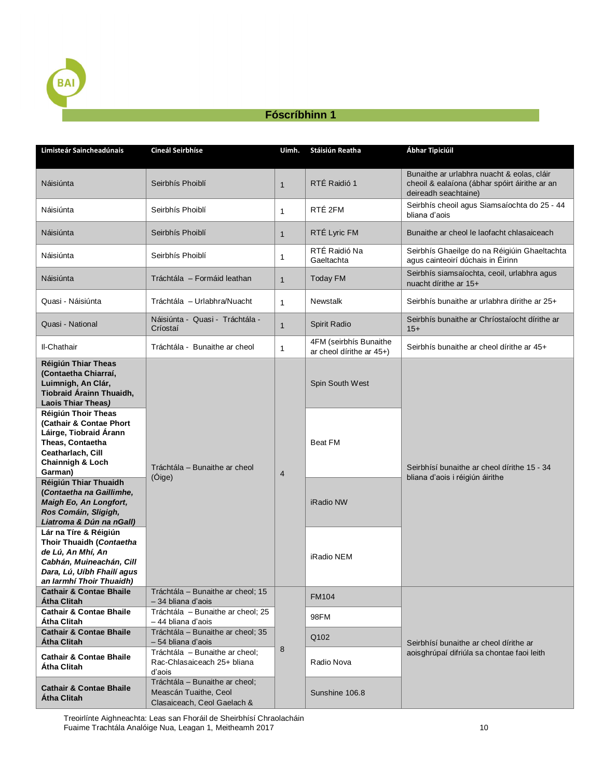

## **Fóscríbhinn 1**

<span id="page-10-0"></span>

| Limisteár Saincheadúnais                                                                                                                                     | Cineál Seirbhíse                                                                                                  | Uimh.                                             | Stáisiún Reatha                                    | Ábhar Tipiciúil                                                                                                     |
|--------------------------------------------------------------------------------------------------------------------------------------------------------------|-------------------------------------------------------------------------------------------------------------------|---------------------------------------------------|----------------------------------------------------|---------------------------------------------------------------------------------------------------------------------|
| Náisiúnta                                                                                                                                                    | Seirbhís Phoiblí                                                                                                  | $\mathbf{1}$                                      | RTÉ Raidió 1                                       | Bunaithe ar urlabhra nuacht & eolas, cláir<br>cheoil & ealaíona (ábhar spóirt áirithe ar an<br>deireadh seachtaine) |
| Náisiúnta                                                                                                                                                    | Seirbhís Phoiblí                                                                                                  | $\mathbf{1}$                                      | RTÉ 2FM                                            | Seirbhís cheoil agus Siamsaíochta do 25 - 44<br>bliana d'aois                                                       |
| Náisiúnta                                                                                                                                                    | Seirbhís Phoiblí                                                                                                  | $\mathbf{1}$                                      | RTÉ Lyric FM                                       | Bunaithe ar cheol le laofacht chlasaiceach                                                                          |
| Náisiúnta                                                                                                                                                    | Seirbhís Phoiblí                                                                                                  | 1                                                 | RTÉ Raidió Na<br>Gaeltachta                        | Seirbhís Ghaeilge do na Réigiúin Ghaeltachta<br>agus cainteoirí dúchais in Éirinn                                   |
| Náisiúnta                                                                                                                                                    | Tráchtála - Formáid leathan                                                                                       | $\mathbf{1}$                                      | Today FM                                           | Seirbhís siamsaíochta, ceoil, urlabhra agus<br>nuacht dírithe ar 15+                                                |
| Quasi - Náisiúnta                                                                                                                                            | Tráchtála – Urlabhra/Nuacht                                                                                       | $\mathbf{1}$                                      | <b>Newstalk</b>                                    | Seirbhís bunaithe ar urlabhra dírithe ar 25+                                                                        |
| Quasi - National                                                                                                                                             | Náisiúnta - Quasi - Tráchtála -<br>Críostaí                                                                       | $\mathbf{1}$                                      | Spirit Radio                                       | Seirbhís bunaithe ar Chríostaíocht dírithe ar<br>$15+$                                                              |
| II-Chathair                                                                                                                                                  | Tráchtála - Bunaithe ar cheol                                                                                     | $\mathbf{1}$                                      | 4FM (seirbhís Bunaithe<br>ar cheol dírithe ar 45+) | Seirbhís bunaithe ar cheol dírithe ar 45+                                                                           |
| Réigiún Thiar Theas<br>(Contaetha Chiarraí,<br>Luimnigh, An Clár,<br>Tiobraid Árainn Thuaidh,<br>Laois Thiar Theas)                                          | Tráchtála - Bunaithe ar cheol<br>(Óige)                                                                           | $\overline{4}$                                    | Spin South West                                    | Seirbhísí bunaithe ar cheol dírithe 15 - 34<br>bliana d'aois i réigiún áirithe                                      |
| Réigiún Thoir Theas<br>(Cathair & Contae Phort<br>Láirge, Tiobraid Árann<br>Theas, Contaetha<br>Ceatharlach, Cill<br><b>Chainnigh &amp; Loch</b><br>Garman)  |                                                                                                                   |                                                   | <b>Beat FM</b>                                     |                                                                                                                     |
| Réigiún Thiar Thuaidh<br>(Contaetha na Gaillimhe,<br>Maigh Eo, An Longfort,<br>Ros Comáin, Sligigh,<br>Liatroma & Dún na nGall)                              |                                                                                                                   |                                                   | iRadio NW                                          |                                                                                                                     |
| Lár na Tíre & Réigiún<br>Thoir Thuaidh (Contaetha<br>de Lú, An Mhí, An<br>Cabhán, Muineachán, Cill<br>Dara, Lú, Uíbh Fhailí agus<br>an Iarmhí Thoir Thuaidh) |                                                                                                                   |                                                   | iRadio NEM                                         |                                                                                                                     |
| <b>Cathair &amp; Contae Bhaile</b><br>Átha Clitah                                                                                                            | Tráchtála – Bunaithe ar cheol; 15<br>- 34 bliana d'aois                                                           |                                                   | <b>FM104</b>                                       |                                                                                                                     |
| <b>Cathair &amp; Contae Bhaile</b><br>Atha Clitah                                                                                                            | Tráchtála - Bunaithe ar cheol; 25<br>-44 bliana d'aois<br>Tráchtála - Bunaithe ar cheol; 35<br>- 54 bliana d'aois | 98FM<br>Q102<br>8<br>Radio Nova<br>Sunshine 106.8 |                                                    |                                                                                                                     |
| <b>Cathair &amp; Contae Bhaile</b><br>Atha Clitah                                                                                                            |                                                                                                                   |                                                   |                                                    | Seirbhísí bunaithe ar cheol dírithe ar<br>aois ghrúpaí difriúla sa chontae faoi leith                               |
| <b>Cathair &amp; Contae Bhaile</b><br>Atha Clitah                                                                                                            | Tráchtála - Bunaithe ar cheol;<br>Rac-Chlasaiceach 25+ bliana<br>d'aois                                           |                                                   |                                                    |                                                                                                                     |
| <b>Cathair &amp; Contae Bhaile</b><br>Atha Clitah                                                                                                            | Tráchtála - Bunaithe ar cheol;<br>Meascán Tuaithe, Ceol<br>Clasaiceach, Ceol Gaelach &                            |                                                   |                                                    |                                                                                                                     |

Treoirlínte Aighneachta: Leas san Fhoráil de Sheirbhísí Chraolacháin Fuaime Trachtála Analóige Nua, Leagan 1, Meitheamh 2017 10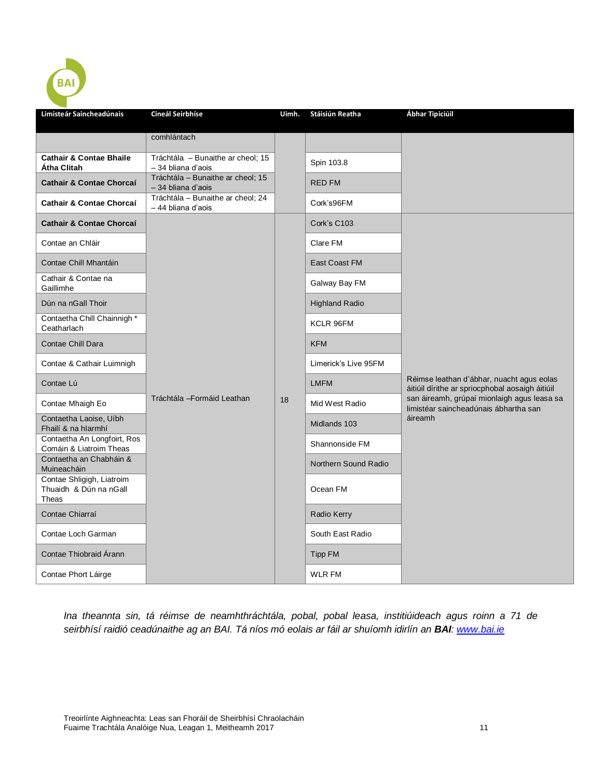| Limisteár Saincheadúnais                               | Cineál Seirbhíse                                        | Uimh. | <b>Stáisiún Reatha</b> | Ábhar Tipiciúil                                                                              |
|--------------------------------------------------------|---------------------------------------------------------|-------|------------------------|----------------------------------------------------------------------------------------------|
|                                                        | comhlántach                                             |       |                        |                                                                                              |
| <b>Cathair &amp; Contae Bhaile</b><br>Átha Clitah      | Tráchtála - Bunaithe ar cheol; 15<br>- 34 bliana d'aois |       | Spin 103.8             |                                                                                              |
| <b>Cathair &amp; Contae Chorcaí</b>                    | Tráchtála - Bunaithe ar cheol; 15<br>-34 bliana d'aois  |       | <b>RED FM</b>          |                                                                                              |
| Cathair & Contae Chorcaí                               | Tráchtála - Bunaithe ar cheol; 24<br>-44 bliana d'aois  |       | Cork's96FM             |                                                                                              |
| <b>Cathair &amp; Contae Chorcaí</b>                    |                                                         |       | Cork's C103            |                                                                                              |
| Contae an Chláir                                       |                                                         |       | Clare FM               |                                                                                              |
| Contae Chill Mhantáin                                  |                                                         |       | East Coast FM          |                                                                                              |
| Cathair & Contae na<br>Gaillimhe                       |                                                         |       | Galway Bay FM          |                                                                                              |
| Dún na nGall Thoir                                     |                                                         |       | <b>Highland Radio</b>  |                                                                                              |
| Contaetha Chill Chainnigh*<br>Ceatharlach              |                                                         |       | KCLR 96FM              |                                                                                              |
| <b>Contae Chill Dara</b>                               |                                                         |       | <b>KFM</b>             |                                                                                              |
| Contae & Cathair Luimnigh                              |                                                         |       | Limerick's Live 95FM   |                                                                                              |
| Contae Lú                                              |                                                         |       | <b>LMFM</b>            | Réimse leathan d'ábhar, nuacht agus eolas<br>áitiúil dírithe ar spriocphobal aosaigh áitiúil |
| Contae Mhaigh Eo                                       | Tráchtála - Formáid Leathan                             | 18    | Mid West Radio         | san áireamh, grúpaí mionlaigh agus leasa sa<br>limistéar saincheadúnais ábhartha san         |
| Contaetha Laoise, Uíbh<br>Fhailí & na hIarmhí          |                                                         |       | Midlands 103           | áireamh                                                                                      |
| Contaetha An Longfoirt, Ros<br>Comáin & Liatroim Theas |                                                         |       | Shannonside FM         |                                                                                              |
| Contaetha an Chabháin &<br>Muineacháin                 |                                                         |       | Northern Sound Radio   |                                                                                              |
| Contae Shligigh, Liatroim<br>Thuaidh & Dún na nGall    |                                                         |       | Ocean FM               |                                                                                              |
| Theas                                                  |                                                         |       |                        |                                                                                              |
| Contae Chiarraí                                        |                                                         |       | Radio Kerry            |                                                                                              |
| Contae Loch Garman                                     |                                                         |       | South East Radio       |                                                                                              |
| Contae Thiobraid Árann                                 |                                                         |       | <b>Tipp FM</b>         |                                                                                              |
| Contae Phort Láirge                                    |                                                         |       | <b>WLR FM</b>          |                                                                                              |

*Ina theannta sin, tá réimse de neamhthráchtála, pobal, pobal leasa, institiúideach agus roinn a 71 de seirbhísí raidió ceadúnaithe ag an BAI. Tá níos mó eolais ar fáil ar shuíomh idirlín an BAI: [www.bai.ie](http://www.bai.ie/)*